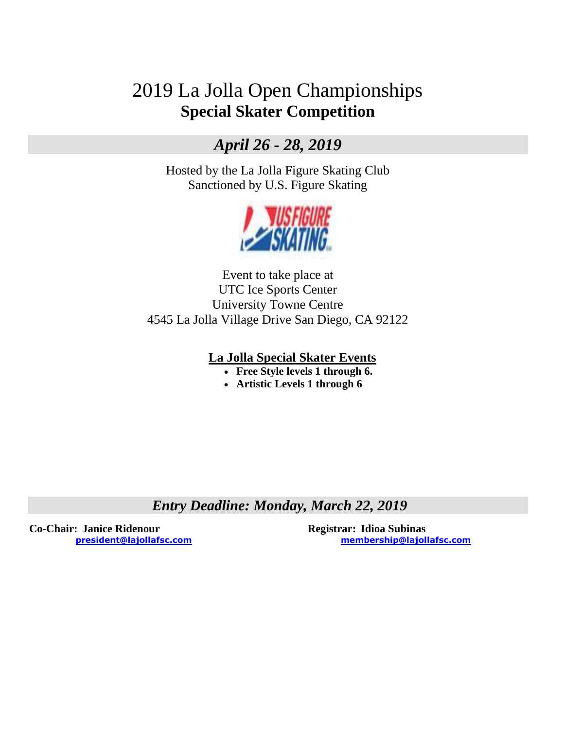# 2019 La Jolla Open Championships **Special Skater Competition**

## *April 26 - 28, 2019*

Hosted by the La Jolla Figure Skating Club Sanctioned by U.S. Figure Skating



Event to take place at UTC Ice Sports Center University Towne Centre 4545 La Jolla Village Drive San Diego, CA 92122

### **La Jolla Special Skater Events**

- **Free Style levels 1 through 6.**
- **Artistic Levels 1 through 6**

*Entry Deadline: Monday, March 22, 2019*

**Co-Chair: Janice Ridenour Registrar: Idioa Subinas**

**[president@lajollafsc.com](mailto:president@lajollafsc.com) [membership@lajollafsc.com](mailto:membership@lajollafsc.com)**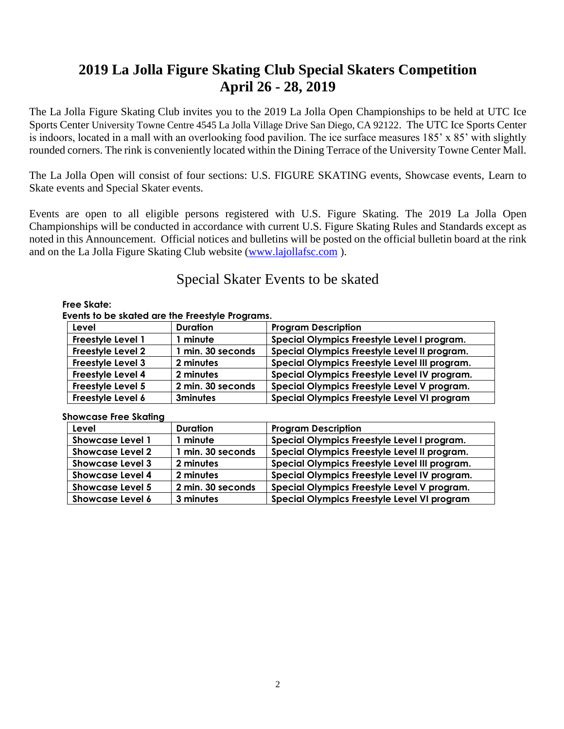## **2019 La Jolla Figure Skating Club Special Skaters Competition April 26 - 28, 2019**

The La Jolla Figure Skating Club invites you to the 2019 La Jolla Open Championships to be held at UTC Ice Sports Center University Towne Centre 4545 La Jolla Village Drive San Diego, CA 92122. The UTC Ice Sports Center is indoors, located in a mall with an overlooking food pavilion. The ice surface measures 185' x 85' with slightly rounded corners. The rink is conveniently located within the Dining Terrace of the University Towne Center Mall.

The La Jolla Open will consist of four sections: U.S. FIGURE SKATING events, Showcase events, Learn to Skate events and Special Skater events.

Events are open to all eligible persons registered with U.S. Figure Skating. The 2019 La Jolla Open Championships will be conducted in accordance with current U.S. Figure Skating Rules and Standards except as noted in this Announcement. Official notices and bulletins will be posted on the official bulletin board at the rink and on the La Jolla Figure Skating Club website [\(www.lajollafsc.com](http://www.lajollafsc.com/) ).

## Special Skater Events to be skated

#### **Free Skate:**

#### **Events to be skated are the Freestyle Programs.**

| Level                    | <b>Duration</b>   | <b>Program Description</b>                    |
|--------------------------|-------------------|-----------------------------------------------|
| <b>Freestyle Level 1</b> | I minute          | Special Olympics Freestyle Level I program.   |
| Freestyle Level 2        | 1 min. 30 seconds | Special Olympics Freestyle Level II program.  |
| <b>Freestyle Level 3</b> | 2 minutes         | Special Olympics Freestyle Level III program. |
| Freestyle Level 4        | 2 minutes         | Special Olympics Freestyle Level IV program.  |
| Freestyle Level 5        | 2 min. 30 seconds | Special Olympics Freestyle Level V program.   |
| Freestyle Level 6        | <b>3minutes</b>   | Special Olympics Freestyle Level VI program   |

#### **Showcase Free Skating**

| Level                   | <b>Duration</b>   | <b>Program Description</b>                    |
|-------------------------|-------------------|-----------------------------------------------|
| <b>Showcase Level 1</b> | I minute          | Special Olympics Freestyle Level I program.   |
| <b>Showcase Level 2</b> | 1 min. 30 seconds | Special Olympics Freestyle Level II program.  |
| <b>Showcase Level 3</b> | 2 minutes         | Special Olympics Freestyle Level III program. |
| <b>Showcase Level 4</b> | 2 minutes         | Special Olympics Freestyle Level IV program.  |
| <b>Showcase Level 5</b> | 2 min. 30 seconds | Special Olympics Freestyle Level V program.   |
| <b>Showcase Level 6</b> | 3 minutes         | Special Olympics Freestyle Level VI program   |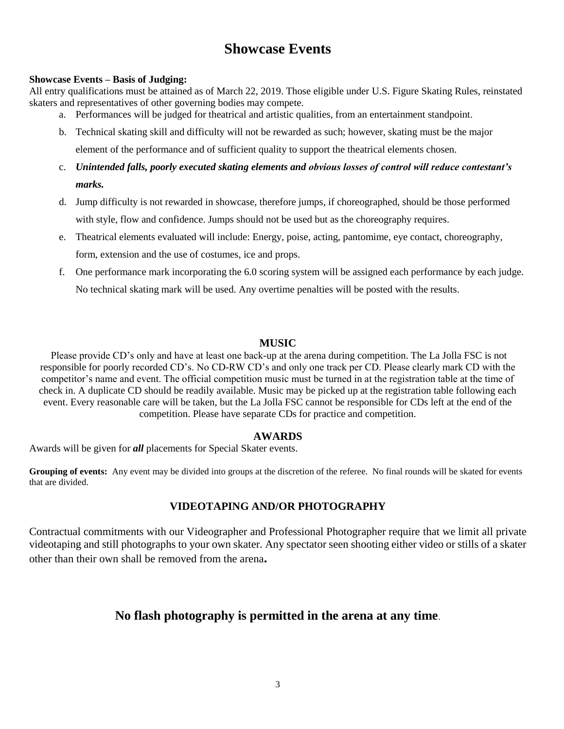## **Showcase Events**

#### **Showcase Events – Basis of Judging:**

All entry qualifications must be attained as of March 22, 2019. Those eligible under U.S. Figure Skating Rules, reinstated skaters and representatives of other governing bodies may compete.

- a. Performances will be judged for theatrical and artistic qualities, from an entertainment standpoint.
- b. Technical skating skill and difficulty will not be rewarded as such; however, skating must be the major element of the performance and of sufficient quality to support the theatrical elements chosen.
- c. *Unintended falls, poorly executed skating elements and obvious losses of control will reduce contestant's marks.*
- d. Jump difficulty is not rewarded in showcase, therefore jumps, if choreographed, should be those performed with style, flow and confidence. Jumps should not be used but as the choreography requires.
- e. Theatrical elements evaluated will include: Energy, poise, acting, pantomime, eye contact, choreography, form, extension and the use of costumes, ice and props.
- f. One performance mark incorporating the 6.0 scoring system will be assigned each performance by each judge. No technical skating mark will be used. Any overtime penalties will be posted with the results.

#### **MUSIC**

Please provide CD's only and have at least one back-up at the arena during competition. The La Jolla FSC is not responsible for poorly recorded CD's. No CD-RW CD's and only one track per CD. Please clearly mark CD with the competitor's name and event. The official competition music must be turned in at the registration table at the time of check in. A duplicate CD should be readily available. Music may be picked up at the registration table following each event. Every reasonable care will be taken, but the La Jolla FSC cannot be responsible for CDs left at the end of the competition. Please have separate CDs for practice and competition.

#### **AWARDS**

Awards will be given for *all* placements for Special Skater events.

**Grouping of events:** Any event may be divided into groups at the discretion of the referee. No final rounds will be skated for events that are divided.

#### **VIDEOTAPING AND/OR PHOTOGRAPHY**

Contractual commitments with our Videographer and Professional Photographer require that we limit all private videotaping and still photographs to your own skater. Any spectator seen shooting either video or stills of a skater other than their own shall be removed from the arena**.** 

## **No flash photography is permitted in the arena at any time**.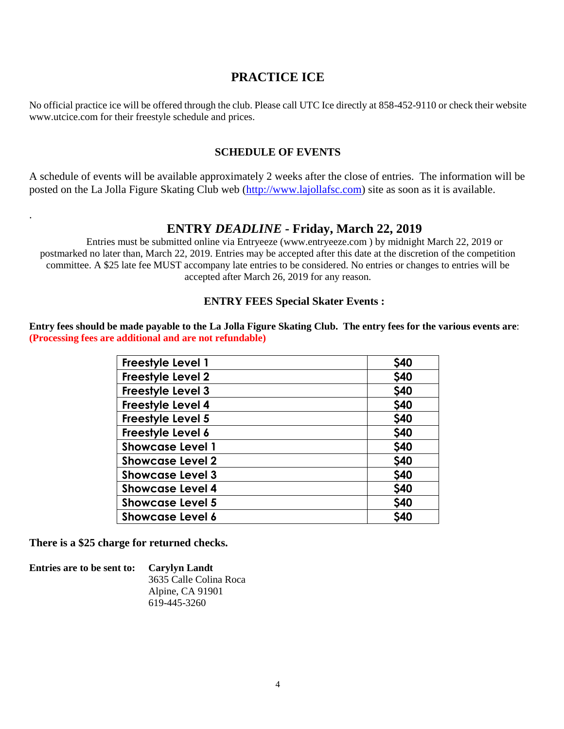## **PRACTICE ICE**

No official practice ice will be offered through the club. Please call UTC Ice directly at 858-452-9110 or check their website www.utcice.com for their freestyle schedule and prices.

#### **SCHEDULE OF EVENTS**

A schedule of events will be available approximately 2 weeks after the close of entries. The information will be posted on the La Jolla Figure Skating Club web [\(http://www.l](http://www./)ajollafsc.com) site as soon as it is available.

### **ENTRY** *DEADLINE* **- Friday, March 22, 2019**

Entries must be submitted online via Entryeeze (www.entryeeze.com ) by midnight March 22, 2019 or postmarked no later than, March 22, 2019. Entries may be accepted after this date at the discretion of the competition committee. A \$25 late fee MUST accompany late entries to be considered. No entries or changes to entries will be accepted after March 26, 2019 for any reason.

#### **ENTRY FEES Special Skater Events :**

**Entry fees should be made payable to the La Jolla Figure Skating Club. The entry fees for the various events are**: **(Processing fees are additional and are not refundable)**

| <b>Freestyle Level 1</b> | \$40       |
|--------------------------|------------|
| Freestyle Level 2        | \$40       |
| Freestyle Level 3        | \$40       |
| Freestyle Level 4        | \$40       |
| Freestyle Level 5        | \$40       |
| Freestyle Level 6        | \$40       |
| <b>Showcase Level 1</b>  | \$40       |
| <b>Showcase Level 2</b>  | \$40       |
| <b>Showcase Level 3</b>  | \$40       |
| <b>Showcase Level 4</b>  | \$40       |
| <b>Showcase Level 5</b>  | \$40       |
| <b>Showcase Level 6</b>  | <b>S40</b> |

**There is a \$25 charge for returned checks.**

.

**Entries are to be sent to: Carylyn Landt** 3635 Calle Colina Roca Alpine, CA 91901 619-445-3260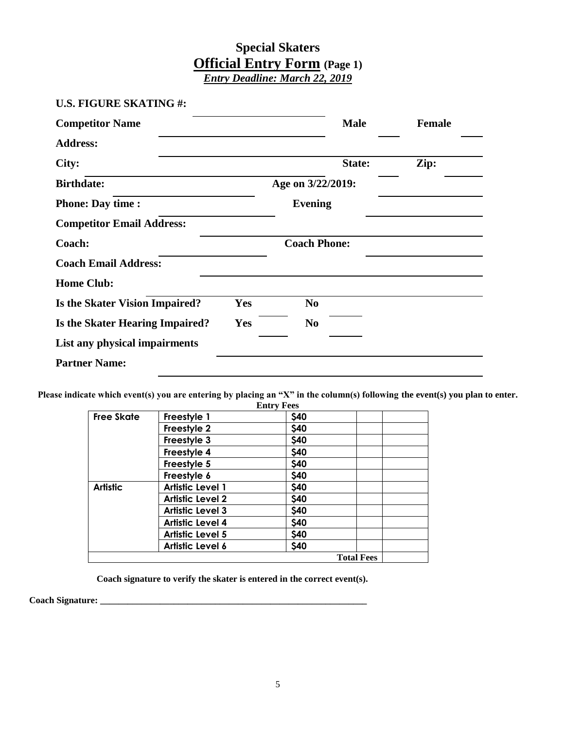## **Special Skaters Official Entry Form (Page 1)**  *Entry Deadline: March 22, 2019*

| <b>U.S. FIGURE SKATING#:</b>          |            |                     |               |
|---------------------------------------|------------|---------------------|---------------|
| <b>Competitor Name</b>                |            | <b>Male</b>         | <b>Female</b> |
| <b>Address:</b>                       |            |                     |               |
| City:                                 |            | State:              | Zip:          |
| <b>Birthdate:</b>                     |            | Age on 3/22/2019:   |               |
| <b>Phone: Day time :</b>              |            | <b>Evening</b>      |               |
| <b>Competitor Email Address:</b>      |            |                     |               |
| Coach:                                |            | <b>Coach Phone:</b> |               |
| <b>Coach Email Address:</b>           |            |                     |               |
| <b>Home Club:</b>                     |            |                     |               |
| <b>Is the Skater Vision Impaired?</b> | Yes        | N <sub>0</sub>      |               |
| Is the Skater Hearing Impaired?       | <b>Yes</b> | N <sub>0</sub>      |               |
| List any physical impairments         |            |                     |               |
| <b>Partner Name:</b>                  |            |                     |               |

**Please indicate which event(s) you are entering by placing an "X" in the column(s) following the event(s) you plan to enter.**

|                   |                         | <b>Entry Fees</b> |                   |  |
|-------------------|-------------------------|-------------------|-------------------|--|
| <b>Free Skate</b> | Freestyle 1             | \$40              |                   |  |
|                   | Freestyle 2             | \$40              |                   |  |
|                   | Freestyle 3             | \$40              |                   |  |
|                   | Freestyle 4             | \$40              |                   |  |
|                   | Freestyle 5             | \$40              |                   |  |
|                   | Freestyle 6             | \$40              |                   |  |
| <b>Artistic</b>   | <b>Artistic Level 1</b> | \$40              |                   |  |
|                   | <b>Artistic Level 2</b> | \$40              |                   |  |
|                   | <b>Artistic Level 3</b> | \$40              |                   |  |
|                   | <b>Artistic Level 4</b> | \$40              |                   |  |
|                   | <b>Artistic Level 5</b> | \$40              |                   |  |
|                   | Artistic Level 6        | \$40              |                   |  |
|                   |                         |                   | <b>Total Fees</b> |  |

 **Coach signature to verify the skater is entered in the correct event(s).**

**Coach Signature: \_\_\_\_\_\_\_\_\_\_\_\_\_\_\_\_\_\_\_\_\_\_\_\_\_\_\_\_\_\_\_\_\_\_\_\_\_\_\_\_\_\_\_\_\_\_\_\_\_\_\_\_\_\_\_\_\_\_**